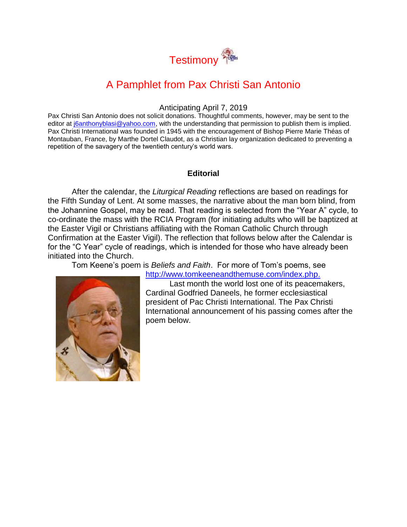

# A Pamphlet from Pax Christi San Antonio

#### Anticipating April 7, 2019

Pax Christi San Antonio does not solicit donations. Thoughtful comments, however, may be sent to the editor at joanthonyblasi@yahoo.com, with the understanding that permission to publish them is implied. Pax Christi International was founded in 1945 with the encouragement of Bishop Pierre Marie Théas of Montauban, France, by Marthe Dortel Claudot, as a Christian lay organization dedicated to preventing a repetition of the savagery of the twentieth century's world wars.

#### **Editorial**

After the calendar, the *Liturgical Reading* reflections are based on readings for the Fifth Sunday of Lent. At some masses, the narrative about the man born blind, from the Johannine Gospel, may be read. That reading is selected from the "Year A" cycle, to co-ordinate the mass with the RCIA Program (for initiating adults who will be baptized at the Easter Vigil or Christians affiliating with the Roman Catholic Church through Confirmation at the Easter Vigil). The reflection that follows below after the Calendar is for the "C Year" cycle of readings, which is intended for those who have already been initiated into the Church.

Tom Keene's poem is *Beliefs and Faith*. For more of Tom's poems, see



[http://www.tomkeeneandthemuse.com/index.php.](http://www.tomkeeneandthemuse.com/index.php)

Last month the world lost one of its peacemakers, Cardinal Godfried Daneels, he former ecclesiastical president of Pac Christi International. The Pax Christi International announcement of his passing comes after the poem below.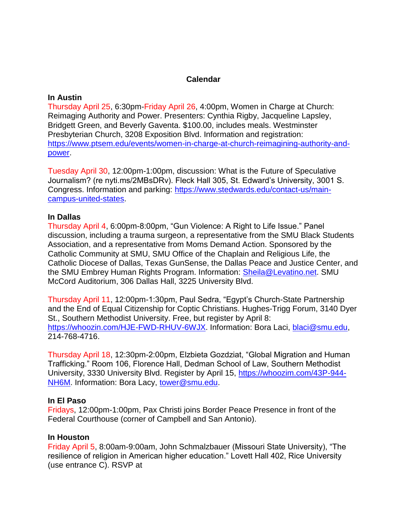## **Calendar**

#### **In Austin**

Thursday April 25, 6:30pm-Friday April 26, 4:00pm, Women in Charge at Church: Reimaging Authority and Power. Presenters: Cynthia Rigby, Jacqueline Lapsley, Bridgett Green, and Beverly Gaventa. \$100.00, includes meals. Westminster Presbyterian Church, 3208 Exposition Blvd. Information and registration: [https://www.ptsem.edu/events/women-in-charge-at-church-reimagining-authority-and](https://www.ptsem.edu/events/women-in-charge-at-church-reimagining-authority-and-power)[power.](https://www.ptsem.edu/events/women-in-charge-at-church-reimagining-authority-and-power)

Tuesday April 30, 12:00pm-1:00pm, discussion: What is the Future of Speculative Journalism? (re nyti.ms/2MBsDRv). Fleck Hall 305, St. Edward's University, 3001 S. Congress. Information and parking: [https://www.stedwards.edu/contact-us/main](https://www.stedwards.edu/contact-us/main-campus-united-states)[campus-united-states.](https://www.stedwards.edu/contact-us/main-campus-united-states)

## **In Dallas**

Thursday April 4, 6:00pm-8:00pm, "Gun Violence: A Right to Life Issue." Panel discussion, including a trauma surgeon, a representative from the SMU Black Students Association, and a representative from Moms Demand Action. Sponsored by the Catholic Community at SMU, SMU Office of the Chaplain and Religious Life, the Catholic Diocese of Dallas, Texas GunSense, the Dallas Peace and Justice Center, and the SMU Embrey Human Rights Program. Information: [Sheila@Levatino.net.](mailto:Sheila@Levatino.net) SMU McCord Auditorium, 306 Dallas Hall, 3225 University Blvd.

Thursday April 11, 12:00pm-1:30pm, Paul Sedra, "Egypt's Church-State Partnership and the End of Equal Citizenship for Coptic Christians. Hughes-Trigg Forum, 3140 Dyer St., Southern Methodist University. Free, but register by April 8: [https://whoozin.com/HJE-FWD-RHUV-6WJX.](https://whoozin.com/HJE-FWD-RHUV-6WJX) Information: Bora Laci, [blaci@smu.edu,](mailto:blaci@smu.edu) 214-768-4716.

Thursday April 18, 12:30pm-2:00pm, Elzbieta Gozdziat, "Global Migration and Human Trafficking." Room 106, Florence Hall, Dedman School of Law, Southern Methodist University, 3330 University Blvd. Register by April 15, [https://whoozim.com/43P-944-](https://whoozim.com/43P-944-NH6M) [NH6M.](https://whoozim.com/43P-944-NH6M) Information: Bora Lacy, [tower@smu.edu.](mailto:tower@smu.edu)

## **In El Paso**

Fridays, 12:00pm-1:00pm, Pax Christi joins Border Peace Presence in front of the Federal Courthouse (corner of Campbell and San Antonio).

## **In Houston**

Friday April 5, 8:00am-9:00am, John Schmalzbauer (Missouri State University), "The resilience of religion in American higher education." Lovett Hall 402, Rice University (use entrance C). RSVP at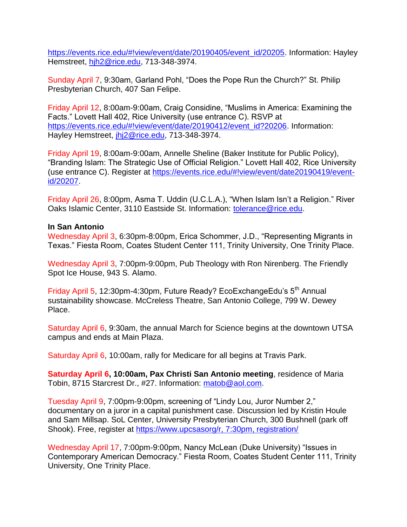[https://events.rice.edu/#!view/event/date/20190405/event\\_id/20205.](https://events.rice.edu/#!view/event/date/20190405/event_id/20205) Information: Hayley Hemstreet, [hjh2@rice.edu,](mailto:hjh2@rice.edu) 713-348-3974.

Sunday April 7, 9:30am, Garland Pohl, "Does the Pope Run the Church?" St. Philip Presbyterian Church, 407 San Felipe.

Friday April 12, 8:00am-9:00am, Craig Considine, "Muslims in America: Examining the Facts." Lovett Hall 402, Rice University (use entrance C). RSVP at [https://events.rice.edu/#!view/event/date/20190412/event\\_id?20206.](https://events.rice.edu/#!view/event/date/20190412/event_id?20206) Information: Hayley Hemstreet, [jhj2@rice.edu,](mailto:jhj2@rice.edu) 713-348-3974.

Friday April 19, 8:00am-9:00am, Annelle Sheline (Baker Institute for Public Policy), "Branding Islam: The Strategic Use of Official Religion." Lovett Hall 402, Rice University (use entrance C). Register at [https://events.rice.edu/#!view/event/date20190419/event](https://events.rice.edu/#!view/event/date20190419/event-id/20207)[id/20207.](https://events.rice.edu/#!view/event/date20190419/event-id/20207)

Friday April 26, 8:00pm, Asma T. Uddin (U.C.L.A.), "When Islam Isn't a Religion." River Oaks Islamic Center, 3110 Eastside St. Information: [tolerance@rice.edu.](mailto:tolerance@rice.edu)

#### **In San Antonio**

Wednesday April 3, 6:30pm-8:00pm, Erica Schommer, J.D., "Representing Migrants in Texas." Fiesta Room, Coates Student Center 111, Trinity University, One Trinity Place.

Wednesday April 3, 7:00pm-9:00pm, Pub Theology with Ron Nirenberg. The Friendly Spot Ice House, 943 S. Alamo.

Friday April 5, 12:30pm-4:30pm, Future Ready? EcoExchangeEdu's 5th Annual sustainability showcase. McCreless Theatre, San Antonio College, 799 W. Dewey Place.

Saturday April 6, 9:30am, the annual March for Science begins at the downtown UTSA campus and ends at Main Plaza.

Saturday April 6, 10:00am, rally for Medicare for all begins at Travis Park.

**Saturday April 6, 10:00am, Pax Christi San Antonio meeting**, residence of Maria Tobin, 8715 Starcrest Dr., #27. Information: [matob@aol.com.](mailto:matob@aol.com)

Tuesday April 9, 7:00pm-9:00pm, screening of "Lindy Lou, Juror Number 2," documentary on a juror in a capital punishment case. Discussion led by Kristin Houle and Sam Millsap. SoL Center, University Presbyterian Church, 300 Bushnell (park off Shook). Free, register at [https://www.upcsasorg/r, 7:30pm, registration/](https://www.upcsasorg/r,%207:30pm,%20registration/)

Wednesday April 17, 7:00pm-9:00pm, Nancy McLean (Duke University) "Issues in Contemporary American Democracy." Fiesta Room, Coates Student Center 111, Trinity University, One Trinity Place.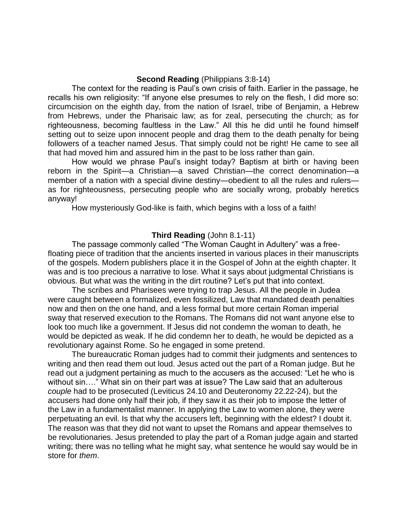#### **Second Reading** (Philippians 3:8-14)

The context for the reading is Paul's own crisis of faith. Earlier in the passage, he recalls his own religiosity: "If anyone else presumes to rely on the flesh, I did more so: circumcision on the eighth day, from the nation of Israel, tribe of Benjamin, a Hebrew from Hebrews, under the Pharisaic law; as for zeal, persecuting the church; as for righteousness, becoming faultless in the Law." All this he did until he found himself setting out to seize upon innocent people and drag them to the death penalty for being followers of a teacher named Jesus. That simply could not be right! He came to see all that had moved him and assured him in the past to be loss rather than gain.

How would we phrase Paul's insight today? Baptism at birth or having been reborn in the Spirit—a Christian—a saved Christian—the correct denomination—a member of a nation with a special divine destiny—obedient to all the rules and rulers as for righteousness, persecuting people who are socially wrong, probably heretics anyway!

How mysteriously God-like is faith, which begins with a loss of a faith!

#### **Third Reading** (John 8.1-11)

The passage commonly called "The Woman Caught in Adultery" was a freefloating piece of tradition that the ancients inserted in various places in their manuscripts of the gospels. Modern publishers place it in the Gospel of John at the eighth chapter. It was and is too precious a narrative to lose. What it says about judgmental Christians is obvious. But what was the writing in the dirt routine? Let's put that into context.

The scribes and Pharisees were trying to trap Jesus. All the people in Judea were caught between a formalized, even fossilized, Law that mandated death penalties now and then on the one hand, and a less formal but more certain Roman imperial sway that reserved execution to the Romans. The Romans did not want anyone else to look too much like a government. If Jesus did not condemn the woman to death, he would be depicted as weak. If he did condemn her to death, he would be depicted as a revolutionary against Rome. So he engaged in some pretend.

The bureaucratic Roman judges had to commit their judgments and sentences to writing and then read them out loud. Jesus acted out the part of a Roman judge. But he read out a judgment pertaining as much to the accusers as the accused: "Let he who is without sin…." What sin on their part was at issue? The Law said that an adulterous *couple* had to be prosecuted (Leviticus 24.10 and Deuteronomy 22.22-24), but the accusers had done only half their job, if they saw it as their job to impose the letter of the Law in a fundamentalist manner. In applying the Law to women alone, they were perpetuating an evil. Is that why the accusers left, beginning with the eldest? I doubt it. The reason was that they did not want to upset the Romans and appear themselves to be revolutionaries. Jesus pretended to play the part of a Roman judge again and started writing; there was no telling what he might say, what sentence he would say would be in store for *them*.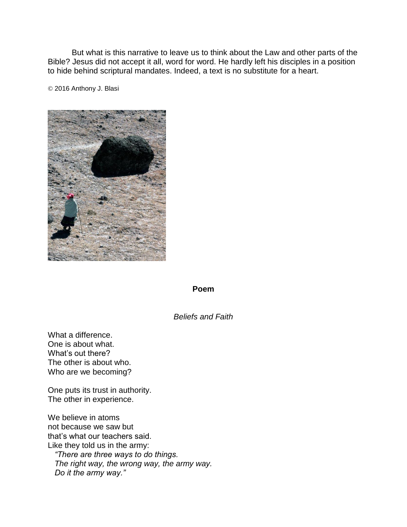But what is this narrative to leave us to think about the Law and other parts of the Bible? Jesus did not accept it all, word for word. He hardly left his disciples in a position to hide behind scriptural mandates. Indeed, a text is no substitute for a heart.

© 2016 Anthony J. Blasi



#### **Poem**

## *Beliefs and Faith*

What a difference. One is about what. What's out there? The other is about who. Who are we becoming?

One puts its trust in authority. The other in experience.

We believe in atoms not because we saw but that's what our teachers said. Like they told us in the army: *"There are three ways to do things. The right way, the wrong way, the army way. Do it the army way."*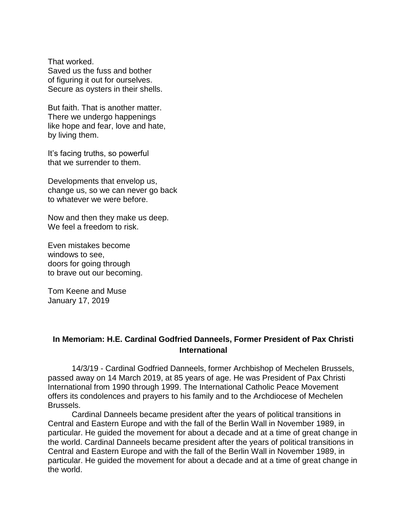That worked. Saved us the fuss and bother of figuring it out for ourselves. Secure as oysters in their shells.

But faith. That is another matter. There we undergo happenings like hope and fear, love and hate, by living them.

It's facing truths, so powerful that we surrender to them.

Developments that envelop us, change us, so we can never go back to whatever we were before.

Now and then they make us deep. We feel a freedom to risk.

Even mistakes become windows to see, doors for going through to brave out our becoming.

Tom Keene and Muse January 17, 2019

## **In Memoriam: H.E. Cardinal Godfried Danneels, Former President of Pax Christi International**

14/3/19 - Cardinal Godfried Danneels, former Archbishop of Mechelen Brussels, passed away on 14 March 2019, at 85 years of age. He was President of Pax Christi International from 1990 through 1999. The International Catholic Peace Movement offers its condolences and prayers to his family and to the Archdiocese of Mechelen Brussels.

Cardinal Danneels became president after the years of political transitions in Central and Eastern Europe and with the fall of the Berlin Wall in November 1989, in particular. He guided the movement for about a decade and at a time of great change in the world. Cardinal Danneels became president after the years of political transitions in Central and Eastern Europe and with the fall of the Berlin Wall in November 1989, in particular. He guided the movement for about a decade and at a time of great change in the world.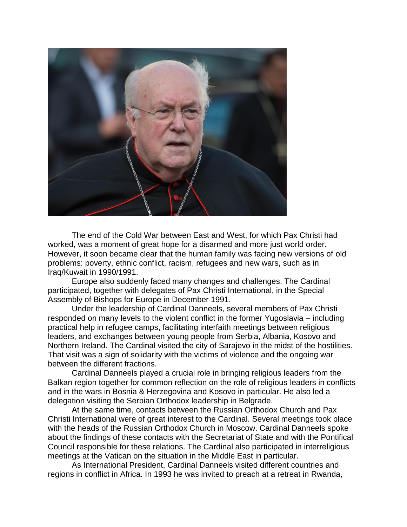

The end of the Cold War between East and West, for which Pax Christi had worked, was a moment of great hope for a disarmed and more just world order. However, it soon became clear that the human family was facing new versions of old problems: poverty, ethnic conflict, racism, refugees and new wars, such as in Iraq/Kuwait in 1990/1991.

Europe also suddenly faced many changes and challenges. The Cardinal participated, together with delegates of Pax Christi International, in the Special Assembly of Bishops for Europe in December 1991.

Under the leadership of Cardinal Danneels, several members of Pax Christi responded on many levels to the violent conflict in the former Yugoslavia – including practical help in refugee camps, facilitating interfaith meetings between religious leaders, and exchanges between young people from Serbia, Albania, Kosovo and Northern Ireland. The Cardinal visited the city of Sarajevo in the midst of the hostilities. That visit was a sign of solidarity with the victims of violence and the ongoing war between the different fractions.

Cardinal Danneels played a crucial role in bringing religious leaders from the Balkan region together for common reflection on the role of religious leaders in conflicts and in the wars in Bosnia & Herzegovina and Kosovo in particular. He also led a delegation visiting the Serbian Orthodox leadership in Belgrade.

At the same time, contacts between the Russian Orthodox Church and Pax Christi International were of great interest to the Cardinal. Several meetings took place with the heads of the Russian Orthodox Church in Moscow. Cardinal Danneels spoke about the findings of these contacts with the Secretariat of State and with the Pontifical Council responsible for these relations. The Cardinal also participated in interreligious meetings at the Vatican on the situation in the Middle East in particular.

As International President, Cardinal Danneels visited different countries and regions in conflict in Africa. In 1993 he was invited to preach at a retreat in Rwanda,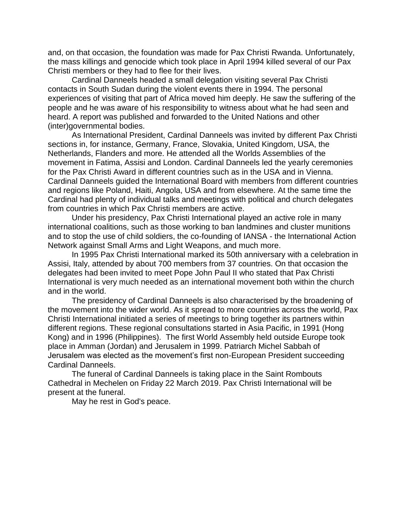and, on that occasion, the foundation was made for Pax Christi Rwanda. Unfortunately, the mass killings and genocide which took place in April 1994 killed several of our Pax Christi members or they had to flee for their lives.

Cardinal Danneels headed a small delegation visiting several Pax Christi contacts in South Sudan during the violent events there in 1994. The personal experiences of visiting that part of Africa moved him deeply. He saw the suffering of the people and he was aware of his responsibility to witness about what he had seen and heard. A report was published and forwarded to the United Nations and other (inter)governmental bodies.

As International President, Cardinal Danneels was invited by different Pax Christi sections in, for instance, Germany, France, Slovakia, United Kingdom, USA, the Netherlands, Flanders and more. He attended all the Worlds Assemblies of the movement in Fatima, Assisi and London. Cardinal Danneels led the yearly ceremonies for the Pax Christi Award in different countries such as in the USA and in Vienna. Cardinal Danneels guided the International Board with members from different countries and regions like Poland, Haiti, Angola, USA and from elsewhere. At the same time the Cardinal had plenty of individual talks and meetings with political and church delegates from countries in which Pax Christi members are active.

Under his presidency, Pax Christi International played an active role in many international coalitions, such as those working to ban landmines and cluster munitions and to stop the use of child soldiers, the co-founding of IANSA - the International Action Network against Small Arms and Light Weapons, and much more.

In 1995 Pax Christi International marked its 50th anniversary with a celebration in Assisi, Italy, attended by about 700 members from 37 countries. On that occasion the delegates had been invited to meet Pope John Paul II who stated that Pax Christi International is very much needed as an international movement both within the church and in the world.

The presidency of Cardinal Danneels is also characterised by the broadening of the movement into the wider world. As it spread to more countries across the world, Pax Christi International initiated a series of meetings to bring together its partners within different regions. These regional consultations started in Asia Pacific, in 1991 (Hong Kong) and in 1996 (Philippines). The first World Assembly held outside Europe took place in Amman (Jordan) and Jerusalem in 1999. Patriarch Michel Sabbah of Jerusalem was elected as the movement's first non-European President succeeding Cardinal Danneels.

The funeral of Cardinal Danneels is taking place in the Saint Rombouts Cathedral in Mechelen on Friday 22 March 2019. Pax Christi International will be present at the funeral.

May he rest in God's peace.